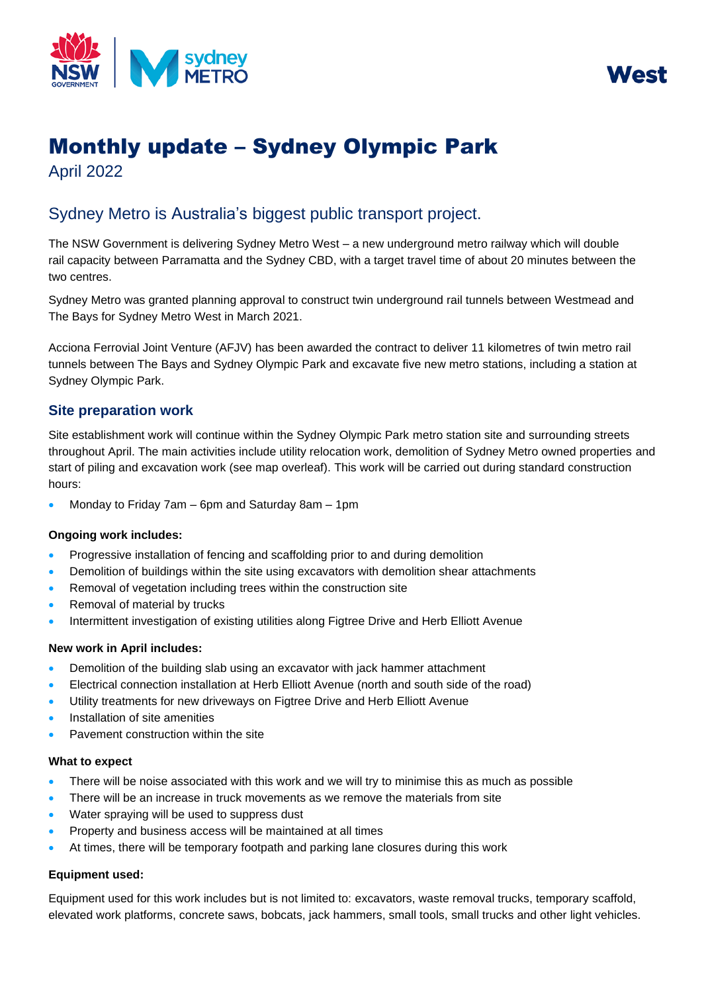



# Monthly update – Sydney Olympic Park

April 2022

## Sydney Metro is Australia's biggest public transport project.

The NSW Government is delivering Sydney Metro West – a new underground metro railway which will double rail capacity between Parramatta and the Sydney CBD, with a target travel time of about 20 minutes between the two centres.

Sydney Metro was granted planning approval to construct twin underground rail tunnels between Westmead and The Bays for Sydney Metro West in March 2021.

Acciona Ferrovial Joint Venture (AFJV) has been awarded the contract to deliver 11 kilometres of twin metro rail tunnels between The Bays and Sydney Olympic Park and excavate five new metro stations, including a station at Sydney Olympic Park.

### **Site preparation work**

Site establishment work will continue within the Sydney Olympic Park metro station site and surrounding streets throughout April. The main activities include utility relocation work, demolition of Sydney Metro owned properties and start of piling and excavation work (see map overleaf). This work will be carried out during standard construction hours:

• Monday to Friday 7am – 6pm and Saturday 8am – 1pm

#### **Ongoing work includes:**

- Progressive installation of fencing and scaffolding prior to and during demolition
- Demolition of buildings within the site using excavators with demolition shear attachments
- Removal of vegetation including trees within the construction site
- Removal of material by trucks
- Intermittent investigation of existing utilities along Figtree Drive and Herb Elliott Avenue

#### **New work in April includes:**

- Demolition of the building slab using an excavator with jack hammer attachment
- Electrical connection installation at Herb Elliott Avenue (north and south side of the road)
- Utility treatments for new driveways on Figtree Drive and Herb Elliott Avenue
- Installation of site amenities
- Pavement construction within the site

#### **What to expect**

- There will be noise associated with this work and we will try to minimise this as much as possible
- There will be an increase in truck movements as we remove the materials from site
- Water spraying will be used to suppress dust
- Property and business access will be maintained at all times
- At times, there will be temporary footpath and parking lane closures during this work

#### **Equipment used:**

Equipment used for this work includes but is not limited to: excavators, waste removal trucks, temporary scaffold, elevated work platforms, concrete saws, bobcats, jack hammers, small tools, small trucks and other light vehicles.